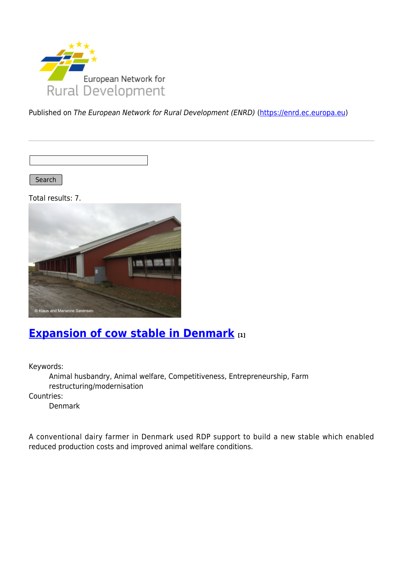

Published on The European Network for Rural Development (ENRD) [\(https://enrd.ec.europa.eu](https://enrd.ec.europa.eu))

Search

Total results: 7.



## **[Expansion of cow stable in Denmark](https://enrd.ec.europa.eu/projects-practice/expansion-cow-stable-denmark_en) [1]**

Keywords:

Animal husbandry, Animal welfare, Competitiveness, Entrepreneurship, Farm restructuring/modernisation

Countries:

Denmark

A conventional dairy farmer in Denmark used RDP support to build a new stable which enabled reduced production costs and improved animal welfare conditions.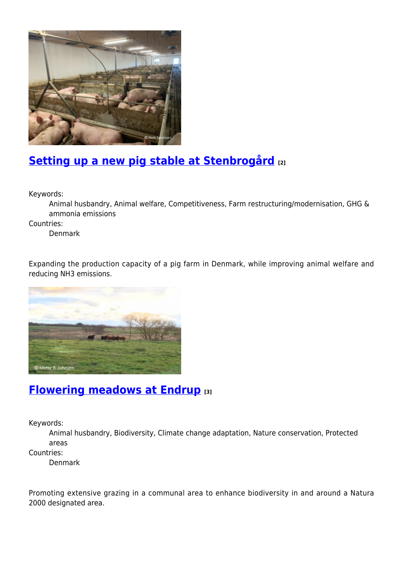

# **[Setting up a new pig stable at Stenbrogård](https://enrd.ec.europa.eu/projects-practice/setting-new-pig-stable-stenbrogard_en) [2]**

Keywords:

Animal husbandry, Animal welfare, Competitiveness, Farm restructuring/modernisation, GHG & ammonia emissions

Countries:

Denmark

Expanding the production capacity of a pig farm in Denmark, while improving animal welfare and reducing NH3 emissions.



## **[Flowering meadows at Endrup](https://enrd.ec.europa.eu/projects-practice/flowering-meadows-endrup_en) [3]**

Keywords:

Animal husbandry, Biodiversity, Climate change adaptation, Nature conservation, Protected areas

Countries:

Denmark

Promoting extensive grazing in a communal area to enhance biodiversity in and around a Natura 2000 designated area.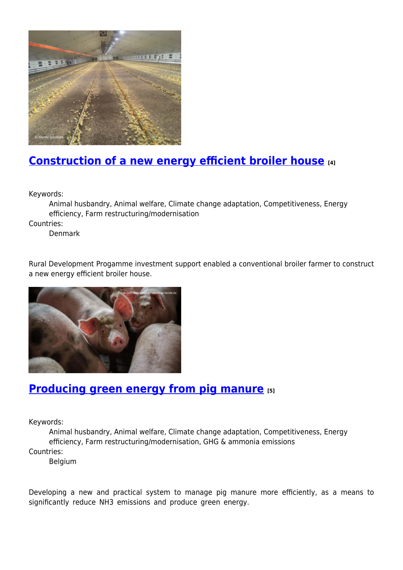

# **[Construction of a new energy efficient broiler house](https://enrd.ec.europa.eu/projects-practice/construction-new-energy-efficient-broiler-house_en) [4]**

Keywords:

Animal husbandry, Animal welfare, Climate change adaptation, Competitiveness, Energy efficiency, Farm restructuring/modernisation

Countries:

Denmark

Rural Development Progamme investment support enabled a conventional broiler farmer to construct a new energy efficient broiler house.



### **[Producing green energy from pig manure](https://enrd.ec.europa.eu/projects-practice/producing-green-energy-pig-manure_en) [5]**

Keywords:

Animal husbandry, Animal welfare, Climate change adaptation, Competitiveness, Energy efficiency, Farm restructuring/modernisation, GHG & ammonia emissions Countries:

Belgium

Developing a new and practical system to manage pig manure more efficiently, as a means to significantly reduce NH3 emissions and produce green energy.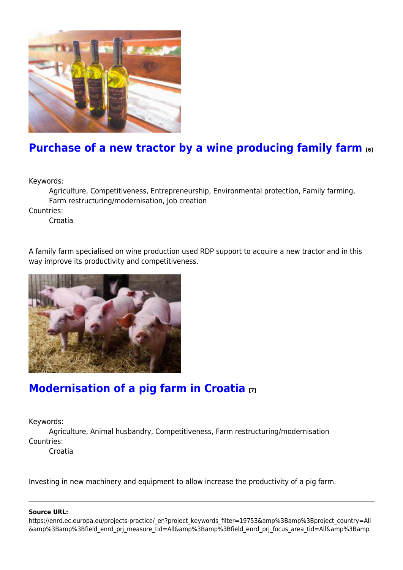

# **[Purchase of a new tractor by a wine producing family farm](https://enrd.ec.europa.eu/projects-practice/purchase-new-tractor-wine-producing-family-farm_en)** [6]

Keywords:

Agriculture, Competitiveness, Entrepreneurship, Environmental protection, Family farming, Farm restructuring/modernisation, Job creation

Countries:

Croatia

A family farm specialised on wine production used RDP support to acquire a new tractor and in this way improve its productivity and competitiveness.



## **[Modernisation of a pig farm in Croatia](https://enrd.ec.europa.eu/projects-practice/modernisation-pig-farm-croatia_en) [7]**

Keywords:

Agriculture, Animal husbandry, Competitiveness, Farm restructuring/modernisation Countries:

Croatia

Investing in new machinery and equipment to allow increase the productivity of a pig farm.

#### **Source URL:**

https://enrd.ec.europa.eu/projects-practice/\_en?project\_keywords\_filter=19753&amp%3Bamp%3Bproject\_country=All &amp%3Bamp%3Bfield\_enrd\_prj\_measure\_tid=All&amp%3Bamp%3Bfield\_enrd\_prj\_focus\_area\_tid=All&amp%3Bamp